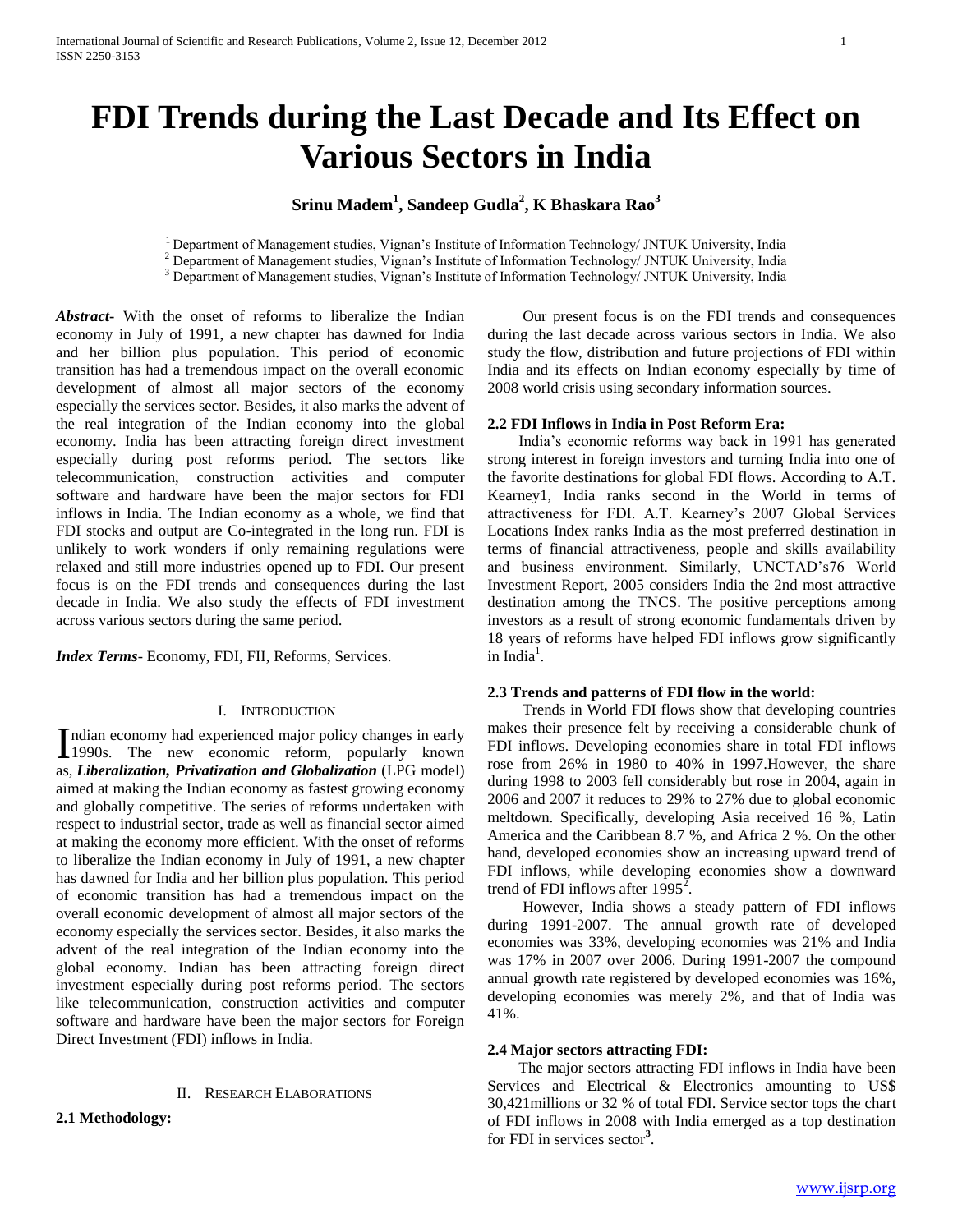# **FDI Trends during the Last Decade and Its Effect on Various Sectors in India**

## **Srinu Madem<sup>1</sup> , Sandeep Gudla<sup>2</sup> , K Bhaskara Rao<sup>3</sup>**

<sup>1</sup> Department of Management studies, Vignan's Institute of Information Technology/ JNTUK University, India <sup>2</sup> Department of Management studies, Vignan's Institute of Information Technology/ JNTUK University, India

<sup>3</sup> Department of Management studies, Vignan's Institute of Information Technology/ JNTUK University, India

*Abstract***-** With the onset of reforms to liberalize the Indian economy in July of 1991, a new chapter has dawned for India and her billion plus population. This period of economic transition has had a tremendous impact on the overall economic development of almost all major sectors of the economy especially the services sector. Besides, it also marks the advent of the real integration of the Indian economy into the global economy. India has been attracting foreign direct investment especially during post reforms period. The sectors like telecommunication, construction activities and computer software and hardware have been the major sectors for FDI inflows in India. The Indian economy as a whole, we find that FDI stocks and output are Co-integrated in the long run. FDI is unlikely to work wonders if only remaining regulations were relaxed and still more industries opened up to FDI. Our present focus is on the FDI trends and consequences during the last decade in India. We also study the effects of FDI investment across various sectors during the same period.

*Index Terms*- Economy, FDI, FII, Reforms, Services.

#### I. INTRODUCTION

ndian economy had experienced major policy changes in early Indian economy had experienced major policy changes in early<br>1990s. The new economic reform, popularly known as, *Liberalization, Privatization and Globalization* (LPG model) aimed at making the Indian economy as fastest growing economy and globally competitive. The series of reforms undertaken with respect to industrial sector, trade as well as financial sector aimed at making the economy more efficient. With the onset of reforms to liberalize the Indian economy in July of 1991, a new chapter has dawned for India and her billion plus population. This period of economic transition has had a tremendous impact on the overall economic development of almost all major sectors of the economy especially the services sector. Besides, it also marks the advent of the real integration of the Indian economy into the global economy. Indian has been attracting foreign direct investment especially during post reforms period. The sectors like telecommunication, construction activities and computer software and hardware have been the major sectors for Foreign Direct Investment (FDI) inflows in India.

#### II. RESEARCH ELABORATIONS

**2.1 Methodology:**

 Our present focus is on the FDI trends and consequences during the last decade across various sectors in India. We also study the flow, distribution and future projections of FDI within India and its effects on Indian economy especially by time of 2008 world crisis using secondary information sources.

#### **2.2 FDI Inflows in India in Post Reform Era:**

 India's economic reforms way back in 1991 has generated strong interest in foreign investors and turning India into one of the favorite destinations for global FDI flows. According to A.T. Kearney1, India ranks second in the World in terms of attractiveness for FDI. A.T. Kearney's 2007 Global Services Locations Index ranks India as the most preferred destination in terms of financial attractiveness, people and skills availability and business environment. Similarly, UNCTAD's76 World Investment Report, 2005 considers India the 2nd most attractive destination among the TNCS. The positive perceptions among investors as a result of strong economic fundamentals driven by 18 years of reforms have helped FDI inflows grow significantly  $\text{india}^1$ .

#### **2.3 Trends and patterns of FDI flow in the world:**

 Trends in World FDI flows show that developing countries makes their presence felt by receiving a considerable chunk of FDI inflows. Developing economies share in total FDI inflows rose from 26% in 1980 to 40% in 1997.However, the share during 1998 to 2003 fell considerably but rose in 2004, again in 2006 and 2007 it reduces to 29% to 27% due to global economic meltdown. Specifically, developing Asia received 16 %, Latin America and the Caribbean 8.7 %, and Africa 2 %. On the other hand, developed economies show an increasing upward trend of FDI inflows, while developing economies show a downward trend of FDI inflows after  $1995^{\overline{2}}$ .

 However, India shows a steady pattern of FDI inflows during 1991-2007. The annual growth rate of developed economies was 33%, developing economies was 21% and India was 17% in 2007 over 2006. During 1991-2007 the compound annual growth rate registered by developed economies was 16%, developing economies was merely 2%, and that of India was 41%.

#### **2.4 Major sectors attracting FDI:**

 The major sectors attracting FDI inflows in India have been Services and Electrical & Electronics amounting to US\$ 30,421millions or 32 % of total FDI. Service sector tops the chart of FDI inflows in 2008 with India emerged as a top destination for FDI in services sector**<sup>3</sup>** .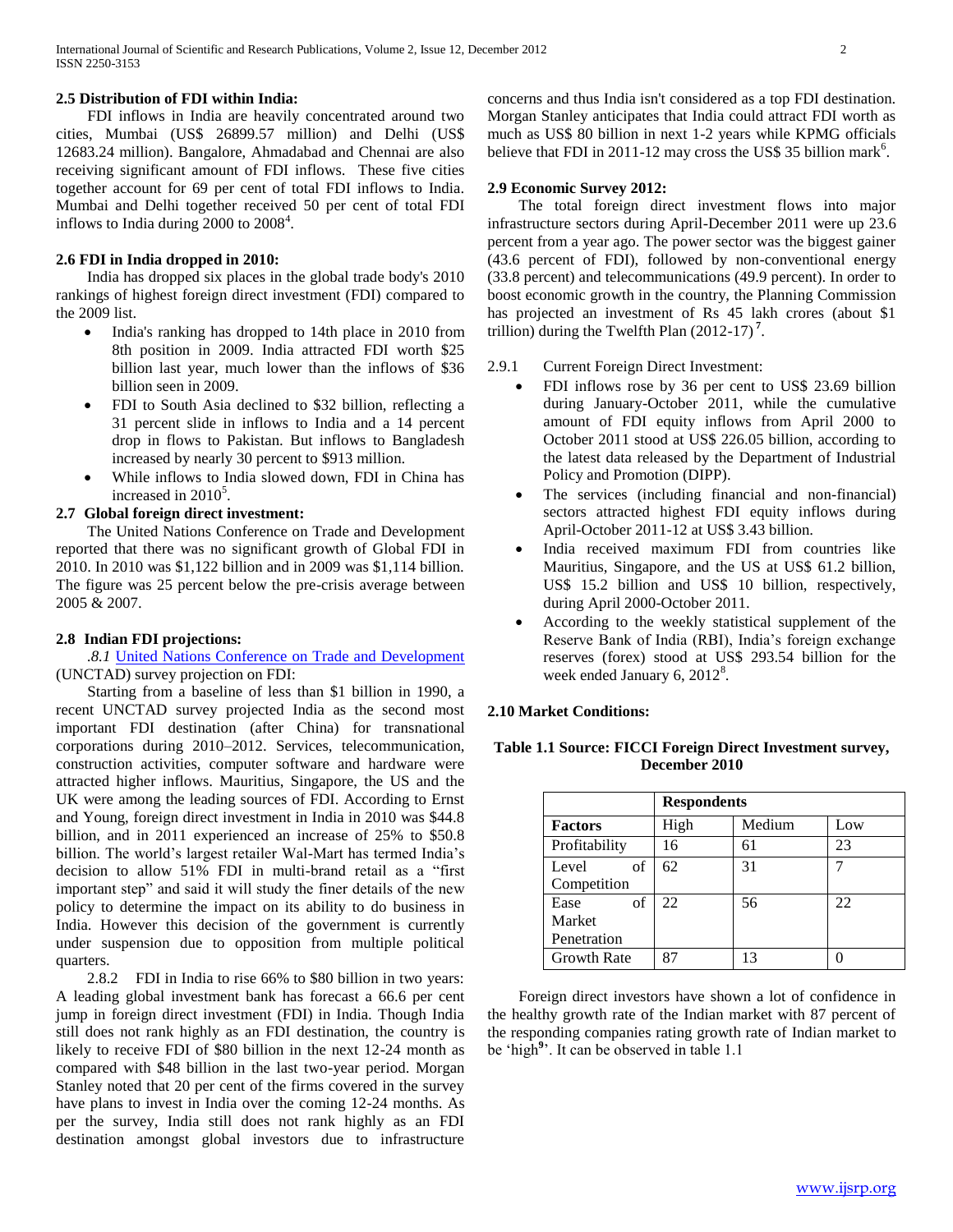#### **2.5 Distribution of FDI within India:**

 FDI inflows in India are heavily concentrated around two cities, Mumbai (US\$ 26899.57 million) and Delhi (US\$ 12683.24 million). Bangalore, Ahmadabad and Chennai are also receiving significant amount of FDI inflows. These five cities together account for 69 per cent of total FDI inflows to India. Mumbai and Delhi together received 50 per cent of total FDI inflows to India during  $2000$  to  $2008<sup>4</sup>$ .

#### **2.6 FDI in India dropped in 2010:**

 India has dropped six places in the global trade body's 2010 rankings of highest foreign direct investment (FDI) compared to the 2009 list.

- India's ranking has dropped to 14th place in 2010 from 8th position in 2009. India attracted FDI worth \$25 billion last year, much lower than the inflows of \$36 billion seen in 2009.
- FDI to South Asia declined to \$32 billion, reflecting a 31 percent slide in inflows to India and a 14 percent drop in flows to Pakistan. But inflows to Bangladesh increased by nearly 30 percent to \$913 million.
- While inflows to India slowed down, FDI in China has increased in  $2010^5$ .

### **2.7 Global foreign direct investment:**

 The United Nations Conference on Trade and Development reported that there was no significant growth of Global FDI in 2010. In 2010 was \$1,122 billion and in 2009 was \$1,114 billion. The figure was 25 percent below the pre-crisis average between 2005 & 2007.

#### **2.8 Indian FDI projections:**

 *.8.1* [United Nations Conference on Trade and Development](http://www.google.co.in/url?sa=t&rct=j&q=UNCTAD&source=web&cd=4&ved=0CEwQFjAD&url=http%3A%2F%2Fen.wikipedia.org%2Fwiki%2FUnited_Nations_Conference_on_Trade_and_Development&ei=4uqQT7XXL82xrAeMxZH7BA&usg=AFQjCNHAJlPOU_vOYqJjSSN76WyIjaqgxA&cad=rja) (UNCTAD) survey projection on FDI:

 Starting from a baseline of less than \$1 billion in 1990, a recent UNCTAD survey projected India as the second most important FDI destination (after China) for transnational corporations during 2010–2012. Services, telecommunication, construction activities, computer software and hardware were attracted higher inflows. Mauritius, Singapore, the US and the UK were among the leading sources of FDI. According to Ernst and Young, foreign direct investment in India in 2010 was \$44.8 billion, and in 2011 experienced an increase of 25% to \$50.8 billion. The world's largest retailer Wal-Mart has termed India's decision to allow 51% FDI in multi-brand retail as a "first important step" and said it will study the finer details of the new policy to determine the impact on its ability to do business in India. However this decision of the government is currently under suspension due to opposition from multiple political quarters.

 2.8.2 FDI in India to rise 66% to \$80 billion in two years: A leading global investment bank has forecast a 66.6 per cent jump in foreign direct investment (FDI) in India. Though India still does not rank highly as an FDI destination, the country is likely to receive FDI of \$80 billion in the next 12-24 month as compared with \$48 billion in the last two-year period. Morgan Stanley noted that 20 per cent of the firms covered in the survey have plans to invest in India over the coming 12-24 months. As per the survey, India still does not rank highly as an FDI destination amongst global investors due to infrastructure concerns and thus India isn't considered as a top FDI destination. Morgan Stanley anticipates that India could attract FDI worth as much as US\$ 80 billion in next 1-2 years while KPMG officials believe that FDI in 2011-12 may cross the US\$ 35 billion mark<sup>6</sup>.

#### **2.9 Economic Survey 2012:**

 The total foreign direct investment flows into major infrastructure sectors during April-December 2011 were up 23.6 percent from a year ago. The power sector was the biggest gainer (43.6 percent of FDI), followed by non-conventional energy (33.8 percent) and telecommunications (49.9 percent). In order to boost economic growth in the country, the Planning Commission has projected an investment of Rs 45 lakh crores (about \$1) trillion) during the Twelfth Plan (2012-17) **<sup>7</sup>** .

#### 2.9.1 Current Foreign Direct Investment:

- FDI inflows rose by 36 per cent to US\$ 23.69 billion during January-October 2011, while the cumulative amount of FDI equity inflows from April 2000 to October 2011 stood at US\$ 226.05 billion, according to the latest data released by the Department of Industrial Policy and Promotion (DIPP).
- The services (including financial and non-financial) sectors attracted highest FDI equity inflows during April-October 2011-12 at US\$ 3.43 billion.
- India received maximum FDI from countries like Mauritius, Singapore, and the US at US\$ 61.2 billion, US\$ 15.2 billion and US\$ 10 billion, respectively, during April 2000-October 2011.
- According to the weekly statistical supplement of the Reserve Bank of India (RBI), India's foreign exchange reserves (forex) stood at US\$ 293.54 billion for the week ended January 6,  $2012^8$ .

#### **2.10 Market Conditions:**

| Table 1.1 Source: FICCI Foreign Direct Investment survey, |  |  |  |  |  |
|-----------------------------------------------------------|--|--|--|--|--|
| December 2010                                             |  |  |  |  |  |

|                    | <b>Respondents</b> |        |     |  |
|--------------------|--------------------|--------|-----|--|
| <b>Factors</b>     | High               | Medium | Low |  |
| Profitability      | 16                 | 61     | 23  |  |
| of<br>Level        | 62                 | 31     |     |  |
| Competition        |                    |        |     |  |
| of<br>Ease         | 22                 | 56     | 22  |  |
| Market             |                    |        |     |  |
| Penetration        |                    |        |     |  |
| <b>Growth Rate</b> | Q۵                 | 13     |     |  |

 Foreign direct investors have shown a lot of confidence in the healthy growth rate of the Indian market with 87 percent of the responding companies rating growth rate of Indian market to be 'high**<sup>9</sup>** '. It can be observed in table 1.1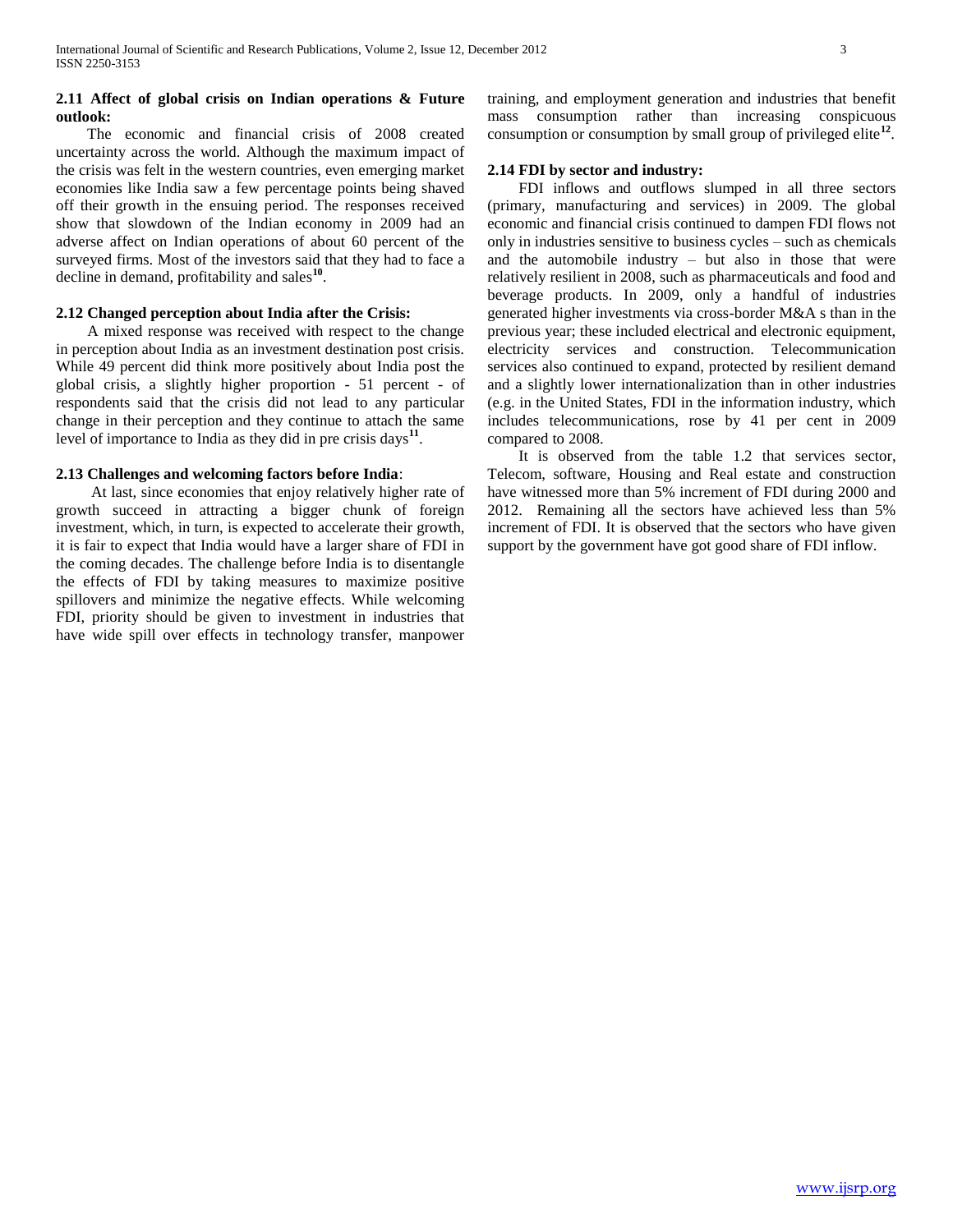#### **2.11 Affect of global crisis on Indian operations & Future outlook:**

 The economic and financial crisis of 2008 created uncertainty across the world. Although the maximum impact of the crisis was felt in the western countries, even emerging market economies like India saw a few percentage points being shaved off their growth in the ensuing period. The responses received show that slowdown of the Indian economy in 2009 had an adverse affect on Indian operations of about 60 percent of the surveyed firms. Most of the investors said that they had to face a decline in demand, profitability and sales**<sup>10</sup>** .

#### **2.12 Changed perception about India after the Crisis:**

 A mixed response was received with respect to the change in perception about India as an investment destination post crisis. While 49 percent did think more positively about India post the global crisis, a slightly higher proportion - 51 percent - of respondents said that the crisis did not lead to any particular change in their perception and they continue to attach the same level of importance to India as they did in pre crisis days**<sup>11</sup>** .

#### **2.13 Challenges and welcoming factors before India**:

 At last, since economies that enjoy relatively higher rate of growth succeed in attracting a bigger chunk of foreign investment, which, in turn, is expected to accelerate their growth, it is fair to expect that India would have a larger share of FDI in the coming decades. The challenge before India is to disentangle the effects of FDI by taking measures to maximize positive spillovers and minimize the negative effects. While welcoming FDI, priority should be given to investment in industries that have wide spill over effects in technology transfer, manpower training, and employment generation and industries that benefit mass consumption rather than increasing conspicuous consumption or consumption by small group of privileged elite**<sup>12</sup>** .

#### **2.14 FDI by sector and industry:**

 FDI inflows and outflows slumped in all three sectors (primary, manufacturing and services) in 2009. The global economic and financial crisis continued to dampen FDI flows not only in industries sensitive to business cycles – such as chemicals and the automobile industry – but also in those that were relatively resilient in 2008, such as pharmaceuticals and food and beverage products. In 2009, only a handful of industries generated higher investments via cross-border M&A s than in the previous year; these included electrical and electronic equipment, electricity services and construction. Telecommunication services also continued to expand, protected by resilient demand and a slightly lower internationalization than in other industries (e.g. in the United States, FDI in the information industry, which includes telecommunications, rose by 41 per cent in 2009 compared to 2008.

 It is observed from the table 1.2 that services sector, Telecom, software, Housing and Real estate and construction have witnessed more than 5% increment of FDI during 2000 and 2012. Remaining all the sectors have achieved less than 5% increment of FDI. It is observed that the sectors who have given support by the government have got good share of FDI inflow.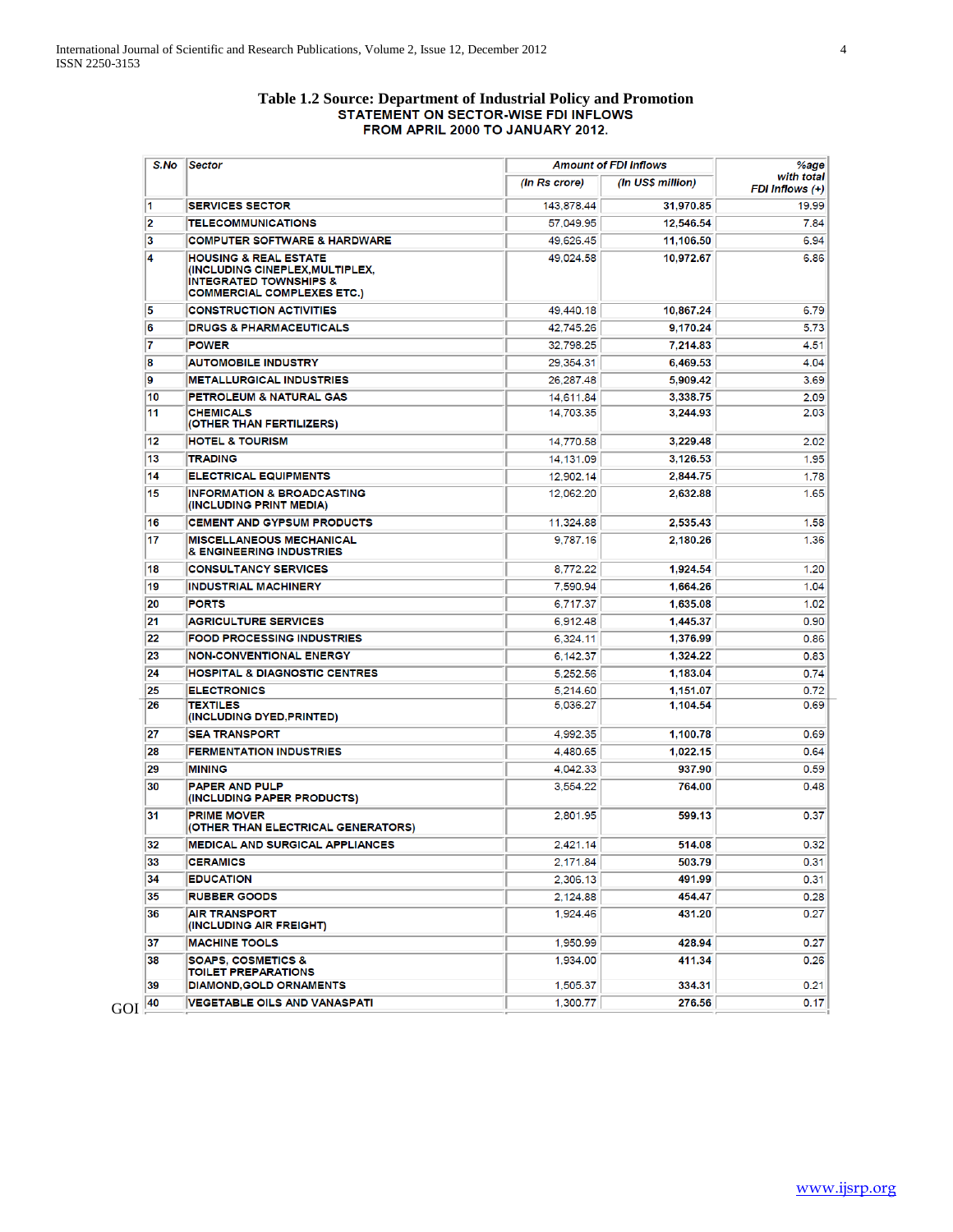# **Table 1.2 Source: Department of Industrial Policy and Promotion** FROM APRIL 2000 TO JANUARY 2012.

| S.No | Sector                                                                                                                                |               | <b>Amount of FDI Inflows</b> |                               |
|------|---------------------------------------------------------------------------------------------------------------------------------------|---------------|------------------------------|-------------------------------|
|      |                                                                                                                                       | (In Rs crore) | (In US\$ million)            | with total<br>FDI Inflows (+) |
| 11   | <b>SERVICES SECTOR</b>                                                                                                                | 143,878.44    | 31,970.85                    | 19.99                         |
| 2    | <b>TELECOMMUNICATIONS</b>                                                                                                             | 57,049.95     | 12,546.54                    | 7.84                          |
| 3    | <b>COMPUTER SOFTWARE &amp; HARDWARE</b>                                                                                               | 49,626.45     | 11,106.50                    | 6.94                          |
| 14   | <b>HOUSING &amp; REAL ESTATE</b><br>(INCLUDING CINEPLEX,MULTIPLEX,<br><b>INTEGRATED TOWNSHIPS &amp;</b><br>COMMERCIAL COMPLEXES ETC.) | 49,024.58     | 10,972.67                    | 6.86                          |
| 5    | <b>CONSTRUCTION ACTIVITIES</b>                                                                                                        | 49,440.18     | 10,867.24                    | 6.79                          |
| 6    | <b>DRUGS &amp; PHARMACEUTICALS</b>                                                                                                    | 42.745.26     | 9,170.24                     | 5.73                          |
| 17   | <b>POWER</b>                                                                                                                          | 32,798.25     | 7,214.83                     | 4.51                          |
| 8    | <b>AUTOMOBILE INDUSTRY</b>                                                                                                            | 29.354.31     | 6,469.53                     | 4.04                          |
| 9    | <b>METALLURGICAL INDUSTRIES</b>                                                                                                       | 26,287.48     | 5,909.42                     | 3.69                          |
| 10   | PETROLEUM & NATURAL GAS                                                                                                               | 14,611.84     | 3,338.75                     | 2.09                          |
| 11   | <b>CHEMICALS</b><br>(OTHER THAN FERTILIZERS)                                                                                          | 14,703.35     | 3,244.93                     | 2.03                          |
| 12   | <b>HOTEL &amp; TOURISM</b>                                                                                                            | 14,770.58     | 3,229.48                     | 2.02                          |
| 13   | <b>TRADING</b>                                                                                                                        | 14.131.09     | 3,126.53                     | 1.95                          |
| 14   | <b>ELECTRICAL EQUIPMENTS</b>                                                                                                          | 12,902.14     | 2,844.75                     | 1.78                          |
| 15   | <b>INFORMATION &amp; BROADCASTING</b><br>(INCLUDING PRINT MEDIA)                                                                      | 12,062.20     | 2,632.88                     | 1.65                          |
| 16   | <b>CEMENT AND GYPSUM PRODUCTS</b>                                                                                                     | 11,324.88     | 2,535.43                     | 1.58                          |
| 17   | <b>MISCELLANEOUS MECHANICAL</b><br><b>&amp; ENGINEERING INDUSTRIES</b>                                                                | 9.787.16      | 2.180.26                     | 1.36                          |
| 18   | <b>CONSULTANCY SERVICES</b>                                                                                                           | 8,772.22      | 1,924.54                     | 1.20                          |
| 19   | <b>INDUSTRIAL MACHINERY</b>                                                                                                           | 7,590.94      | 1,664.26                     | 1.04                          |
| 20   | <b>PORTS</b>                                                                                                                          | 6,717.37      | 1,635.08                     | 1.02                          |
| 21   | <b>AGRICULTURE SERVICES</b>                                                                                                           | 6,912.48      | 1,445.37                     | 0.90                          |
| 22   | <b>FOOD PROCESSING INDUSTRIES</b>                                                                                                     | 6,324.11      | 1,376.99                     | 0.86                          |
| 23   | <b>NON-CONVENTIONAL ENERGY</b>                                                                                                        | 6,142.37      | 1,324.22                     | 0.83                          |
| 24   | <b>HOSPITAL &amp; DIAGNOSTIC CENTRES</b>                                                                                              | 5,252.56      | 1,183.04                     | 0.74                          |
| 25   | <b>ELECTRONICS</b>                                                                                                                    | 5,214.60      | 1,151.07                     | 0.72                          |
| 26   | <b>TEXTILES</b><br>(INCLUDING DYED,PRINTED)                                                                                           | 5,036.27      | 1,104.54                     | 0.69                          |
| 27   | <b>SEA TRANSPORT</b>                                                                                                                  | 4,992.35      | 1,100.78                     | 0.69                          |
| 28   | <b>FERMENTATION INDUSTRIES</b>                                                                                                        | 4,480.65      | 1,022.15                     | 0.64                          |
| 29   | MINING                                                                                                                                | 4.042.33      | 937.90                       | 0.59                          |
| 30   | <b>PAPER AND PULP</b><br>(INCLUDING PAPER PRODUCTS)                                                                                   | 3.554.22      | 764.00                       | 0.48                          |
| 31   | <b>PRIME MOVER</b><br>(OTHER THAN ELECTRICAL GENERATORS)                                                                              | 2,801.95      | 599.13                       | 0.37                          |
| 32   | <b>MEDICAL AND SURGICAL APPLIANCES</b>                                                                                                | 2.421.14      | 514.08                       | 0.32                          |
| 33   | <b>CERAMICS</b>                                                                                                                       | 2,171.84      | 503.79                       | 0.31                          |
| 34   | <b>EDUCATION</b>                                                                                                                      | 2,306.13      | 491.99                       | 0.31                          |
| 35   | <b>RUBBER GOODS</b>                                                                                                                   | 2,124.88      | 454.47                       | 0.28                          |
| 36   | <b>AIR TRANSPORT</b><br>(INCLUDING AIR FREIGHT)                                                                                       | 1,924.46      | 431.20                       | 0.27                          |
| 37   | <b>MACHINE TOOLS</b>                                                                                                                  | 1,950.99      | 428.94                       | 0.27                          |
| 38   | <b>SOAPS, COSMETICS &amp;</b><br><b>TOILET PREPARATIONS</b>                                                                           | 1,934.00      | 411.34                       | 0.26                          |
| 39   | <b>DIAMOND, GOLD ORNAMENTS</b>                                                                                                        | 1,505.37      | 334.31                       | 0.21                          |
| 40   | <b>VEGETABLE OILS AND VANASPATI</b>                                                                                                   | 1,300.77      | 276.56                       | 0.17                          |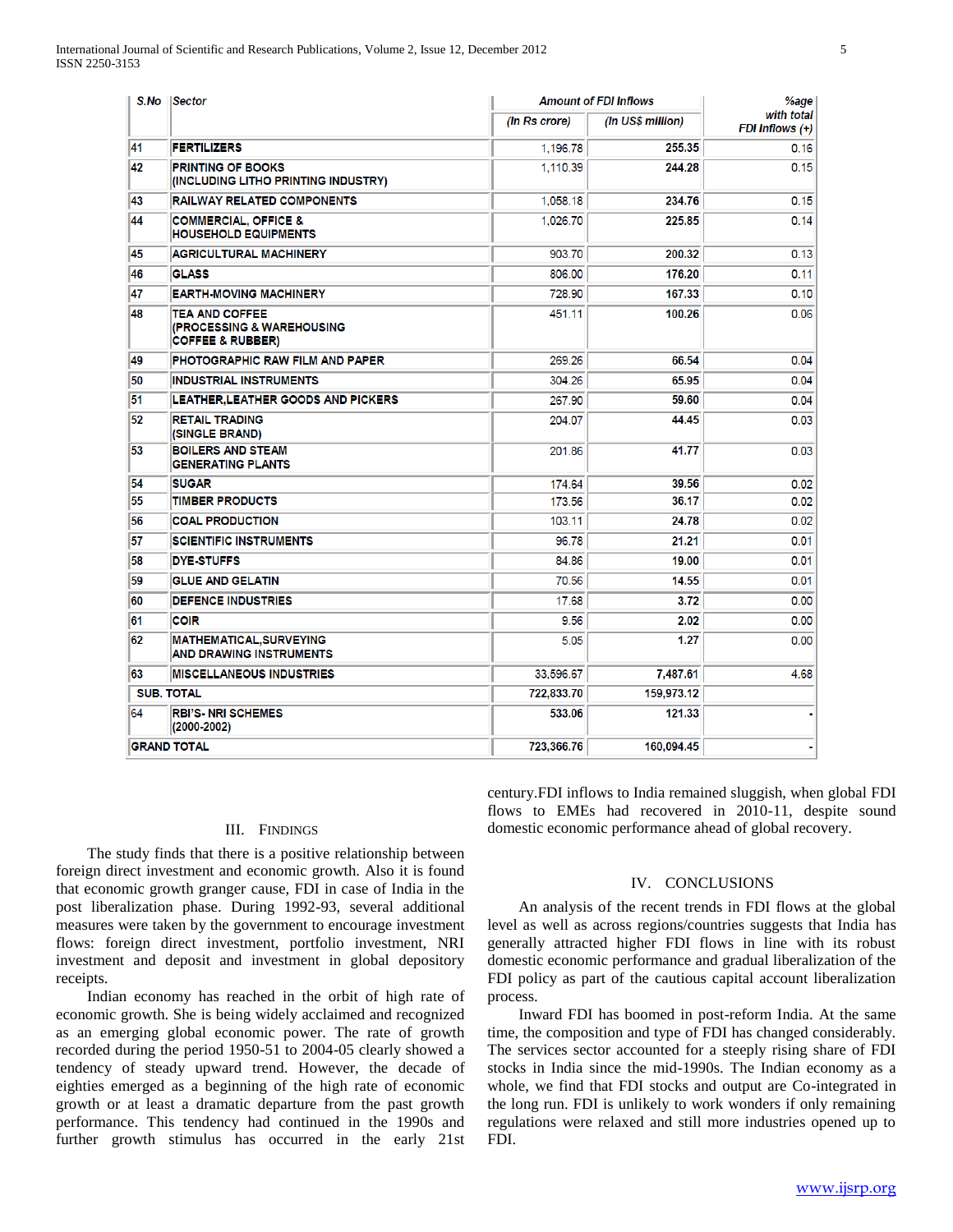| S.No | <b>Sector</b>                                                                     | <b>Amount of FDI Inflows</b> |                               | %age |
|------|-----------------------------------------------------------------------------------|------------------------------|-------------------------------|------|
|      | (In Rs crore)                                                                     | (In US\$ million)            | with total<br>FDI Inflows (+) |      |
| 41   | <b>FERTILIZERS</b>                                                                | 1.196.78                     | 255.35                        | 0.16 |
| 42   | <b>PRINTING OF BOOKS</b><br>(INCLUDING LITHO PRINTING INDUSTRY)                   | 1,110.39                     | 244.28                        | 0.15 |
| 43   | <b>RAILWAY RELATED COMPONENTS</b>                                                 | 1,058.18                     | 234.76                        | 0.15 |
| 44   | <b>COMMERCIAL, OFFICE &amp;</b><br><b>HOUSEHOLD EQUIPMENTS</b>                    | 1.026.70                     | 225.85                        | 0.14 |
| 45   | <b>AGRICULTURAL MACHINERY</b>                                                     | 903.70                       | 200.32                        | 0.13 |
| 46   | <b>GLASS</b>                                                                      | 806.00                       | 176.20                        | 0.11 |
| 47   | <b>EARTH-MOVING MACHINERY</b>                                                     | 728.90                       | 167.33                        | 0.10 |
| 48   | <b>TEA AND COFFEE</b><br>(PROCESSING & WAREHOUSING<br><b>COFFEE &amp; RUBBER)</b> | 451.11                       | 100.26                        | 0.06 |
| 49   | <b>PHOTOGRAPHIC RAW FILM AND PAPER</b>                                            | 269.26                       | 66.54                         | 0.04 |
| 50   | INDUSTRIAL INSTRUMENTS                                                            | 304.26                       | 65.95                         | 0.04 |
| 51   | LEATHER, LEATHER GOODS AND PICKERS                                                | 267.90                       | 59.60                         | 0.04 |
| 52   | <b>RETAIL TRADING</b><br>(SINGLE BRAND)                                           | 204.07                       | 44.45                         | 0.03 |
| 53   | <b>BOILERS AND STEAM</b><br><b>GENERATING PLANTS</b>                              | 201.86                       | 41.77                         | 0.03 |
| 54   | <b>SUGAR</b>                                                                      | 174.64                       | 39.56                         | 0.02 |
| 55   | <b>TIMBER PRODUCTS</b>                                                            | 173.56                       | 36.17                         | 0.02 |
| 56   | <b>COAL PRODUCTION</b>                                                            | 103.11                       | 24.78                         | 0.02 |
| 57   | <b>SCIENTIFIC INSTRUMENTS</b>                                                     | 96.78                        | 21.21                         | 0.01 |
| 58   | <b>DYE-STUFFS</b>                                                                 | 84.86                        | 19.00                         | 0.01 |
| 59   | <b>GLUE AND GELATIN</b>                                                           | 70.56                        | 14.55                         | 0.01 |
| 60   | <b>DEFENCE INDUSTRIES</b>                                                         | 17.68                        | 3.72                          | 0.00 |
| 61   | <b>COIR</b>                                                                       | 9.56                         | 2.02                          | 0.00 |
| 62   | <b>MATHEMATICAL, SURVEYING</b><br>AND DRAWING INSTRUMENTS                         | 5.05                         | 1.27                          | 0.00 |
| 63   | <b>MISCELLANEOUS INDUSTRIES</b>                                                   | 33,596.67                    | 7,487.61                      | 4.68 |
|      | <b>SUB. TOTAL</b>                                                                 | 722,833.70                   | 159,973.12                    |      |
| 64   | <b>RBI'S-NRI SCHEMES</b><br>$(2000 - 2002)$                                       | 533.06                       | 121.33                        |      |
|      | <b>GRAND TOTAL</b>                                                                | 723,366.76                   | 160,094.45                    |      |

#### III. FINDINGS

 The study finds that there is a positive relationship between foreign direct investment and economic growth. Also it is found that economic growth granger cause, FDI in case of India in the post liberalization phase. During 1992-93, several additional measures were taken by the government to encourage investment flows: foreign direct investment, portfolio investment, NRI investment and deposit and investment in global depository receipts.

 Indian economy has reached in the orbit of high rate of economic growth. She is being widely acclaimed and recognized as an emerging global economic power. The rate of growth recorded during the period 1950-51 to 2004-05 clearly showed a tendency of steady upward trend. However, the decade of eighties emerged as a beginning of the high rate of economic growth or at least a dramatic departure from the past growth performance. This tendency had continued in the 1990s and further growth stimulus has occurred in the early 21st

century.FDI inflows to India remained sluggish, when global FDI flows to EMEs had recovered in 2010-11, despite sound domestic economic performance ahead of global recovery.

#### IV. CONCLUSIONS

 An analysis of the recent trends in FDI flows at the global level as well as across regions/countries suggests that India has generally attracted higher FDI flows in line with its robust domestic economic performance and gradual liberalization of the FDI policy as part of the cautious capital account liberalization process.

 Inward FDI has boomed in post-reform India. At the same time, the composition and type of FDI has changed considerably. The services sector accounted for a steeply rising share of FDI stocks in India since the mid-1990s. The Indian economy as a whole, we find that FDI stocks and output are Co-integrated in the long run. FDI is unlikely to work wonders if only remaining regulations were relaxed and still more industries opened up to FDI.